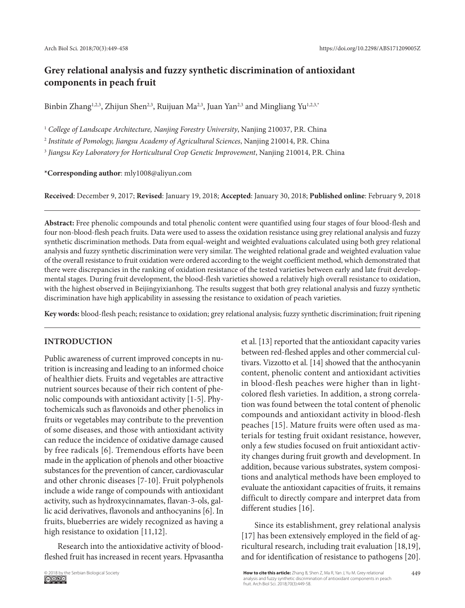# **Grey relational analysis and fuzzy synthetic discrimination of antioxidant components in peach fruit**

Binbin Zhang<sup>1,2,3</sup>, Zhijun Shen<sup>2,3</sup>, Ruijuan Ma<sup>2,3</sup>, Juan Yan<sup>2,3</sup> and Mingliang Yu<sup>1,2,3,\*</sup>

<sup>1</sup> College of Landscape Architecture, Nanjing Forestry University, Nanjing 210037, P.R. China

<sup>2</sup> *Institute of Pomology, Jiangsu Academy of Agricultural Sciences*, Nanjing 210014, P.R. China

<sup>3</sup> *Jiangsu Key Laboratory for Horticultural Crop Genetic Improvement*, Nanjing 210014, P.R. China

**\*Corresponding author**: mly1008@aliyun.com

**Received**: December 9, 2017; **Revised**: January 19, 2018; **Accepted**: January 30, 2018; **Published online**: February 9, 2018

**Abstract:** Free phenolic compounds and total phenolic content were quantified using four stages of four blood-flesh and four non-blood-flesh peach fruits. Data were used to assess the oxidation resistance using grey relational analysis and fuzzy synthetic discrimination methods. Data from equal-weight and weighted evaluations calculated using both grey relational analysis and fuzzy synthetic discrimination were very similar. The weighted relational grade and weighted evaluation value of the overall resistance to fruit oxidation were ordered according to the weight coefficient method, which demonstrated that there were discrepancies in the ranking of oxidation resistance of the tested varieties between early and late fruit developmental stages. During fruit development, the blood-flesh varieties showed a relatively high overall resistance to oxidation, with the highest observed in Beijingyixianhong. The results suggest that both grey relational analysis and fuzzy synthetic discrimination have high applicability in assessing the resistance to oxidation of peach varieties.

**Key words:** blood-flesh peach; resistance to oxidation; grey relational analysis; fuzzy synthetic discrimination; fruit ripening

## **INTRODUCTION**

Public awareness of current improved concepts in nutrition is increasing and leading to an informed choice of healthier diets. Fruits and vegetables are attractive nutrient sources because of their rich content of phenolic compounds with antioxidant activity [1-5]. Phytochemicals such as flavonoids and other phenolics in fruits or vegetables may contribute to the prevention of some diseases, and those with antioxidant activity can reduce the incidence of oxidative damage caused by free radicals [6]. Tremendous efforts have been made in the application of phenols and other bioactive substances for the prevention of cancer, cardiovascular and other chronic diseases [7-10]. Fruit polyphenols include a wide range of compounds with antioxidant activity, such as hydroxycinnamates, flavan-3-ols, gallic acid derivatives, flavonols and anthocyanins [6]. In fruits, blueberries are widely recognized as having a high resistance to oxidation [11,12].

Research into the antioxidative activity of bloodfleshed fruit has increased in recent years. Hpvasantha et al. [13] reported that the antioxidant capacity varies between red-fleshed apples and other commercial cultivars. Vizzotto et al. [14] showed that the anthocyanin content, phenolic content and antioxidant activities in blood-flesh peaches were higher than in lightcolored flesh varieties. In addition, a strong correlation was found between the total content of phenolic compounds and antioxidant activity in blood-flesh peaches [15]. Mature fruits were often used as materials for testing fruit oxidant resistance, however, only a few studies focused on fruit antioxidant activity changes during fruit growth and development. In addition, because various substrates, system compositions and analytical methods have been employed to evaluate the antioxidant capacities of fruits, it remains difficult to directly compare and interpret data from different studies [16].

Since its establishment, grey relational analysis [17] has been extensively employed in the field of agricultural research, including trait evaluation [18,19], and for identification of resistance to pathogens [20].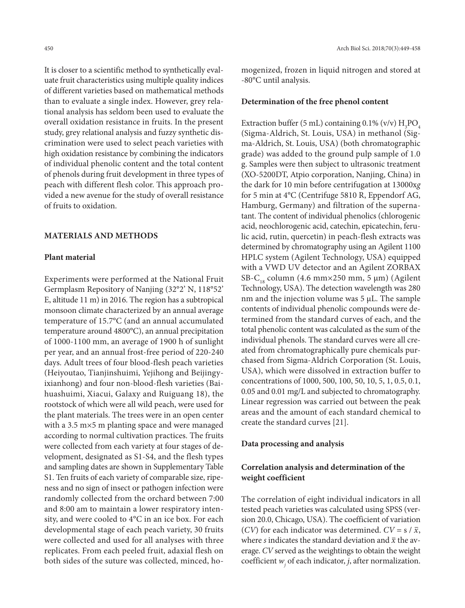It is closer to a scientific method to synthetically evaluate fruit characteristics using multiple quality indices of different varieties based on mathematical methods than to evaluate a single index. However, grey relational analysis has seldom been used to evaluate the overall oxidation resistance in fruits. In the present study, grey relational analysis and fuzzy synthetic discrimination were used to select peach varieties with high oxidation resistance by combining the indicators of individual phenolic content and the total content of phenols during fruit development in three types of peach with different flesh color. This approach provided a new avenue for the study of overall resistance of fruits to oxidation.

## **MATERIALS AND METHODS**

## **Plant material**

Experiments were performed at the National Fruit Germplasm Repository of Nanjing (32°2' N, 118°52' E, altitude 11 m) in 2016. The region has a subtropical monsoon climate characterized by an annual average temperature of 15.7°C (and an annual accumulated temperature around 4800°C), an annual precipitation of 1000-1100 mm, an average of 1900 h of sunlight per year, and an annual frost-free period of 220-240 days. Adult trees of four blood-flesh peach varieties (Heiyoutao, Tianjinshuimi, Yejihong and Beijingyixianhong) and four non-blood-flesh varieties (Baihuashuimi, Xiacui, Galaxy and Ruiguang 18), the rootstock of which were all wild peach, were used for the plant materials. The trees were in an open center with a 3.5 m×5 m planting space and were managed according to normal cultivation practices. The fruits were collected from each variety at four stages of development, designated as S1-S4, and the flesh types and sampling dates are shown in Supplementary Table S1. Ten fruits of each variety of comparable size, ripeness and no sign of insect or pathogen infection were randomly collected from the orchard between 7:00 and 8:00 am to maintain a lower respiratory intensity, and were cooled to 4°C in an ice box. For each developmental stage of each peach variety, 30 fruits were collected and used for all analyses with three replicates. From each peeled fruit, adaxial flesh on both sides of the suture was collected, minced, homogenized, frozen in liquid nitrogen and stored at -80°C until analysis.

#### **Determination of the free phenol content**

Extraction buffer (5 mL) containing  $0.1\%$  (v/v)  $\mathrm{H_{3}PO_{4}}$ (Sigma-Aldrich, St. Louis, USA) in methanol (Sigma-Aldrich, St. Louis, USA) (both chromatographic grade) was added to the ground pulp sample of 1.0 g. Samples were then subject to ultrasonic treatment (XO-5200DT, Atpio corporation, Nanjing, China) in the dark for 10 min before centrifugation at 13000x*g* for 5 min at 4°C (Centrifuge 5810 R, Eppendorf AG, Hamburg, Germany) and filtration of the supernatant. The content of individual phenolics (chlorogenic acid, neochlorogenic acid, catechin, epicatechin, ferulic acid, rutin, quercetin) in peach-flesh extracts was determined by chromatography using an Agilent 1100 HPLC system (Agilent Technology, USA) equipped with a VWD UV detector and an Agilent ZORBAX SB-C<sub>18</sub> column (4.6 mm×250 mm, 5 µm) (Agilent Technology, USA). The detection wavelength was 280 nm and the injection volume was 5 μL. The sample contents of individual phenolic compounds were determined from the standard curves of each, and the total phenolic content was calculated as the sum of the individual phenols. The standard curves were all created from chromatographically pure chemicals purchased from Sigma-Aldrich Corporation (St. Louis, USA), which were dissolved in extraction buffer to concentrations of 1000, 500, 100, 50, 10, 5, 1, 0.5, 0.1, 0.05 and 0.01 mg/L and subjected to chromatography. Linear regression was carried out between the peak areas and the amount of each standard chemical to create the standard curves [21].

### **Data processing and analysis**

## **Correlation analysis and determination of the weight coefficient**

The correlation of eight individual indicators in all tested peach varieties was calculated using SPSS (version 20.0, Chicago, USA). The coefficient of variation (*CV*) for each indicator was determined.  $CV = s / \bar{x}$ , where *s* indicates the standard deviation and  $\bar{x}$  the average. *CV* served as the weightings to obtain the weight coefficient  $w_j$  of each indicator, *j*, after normalization.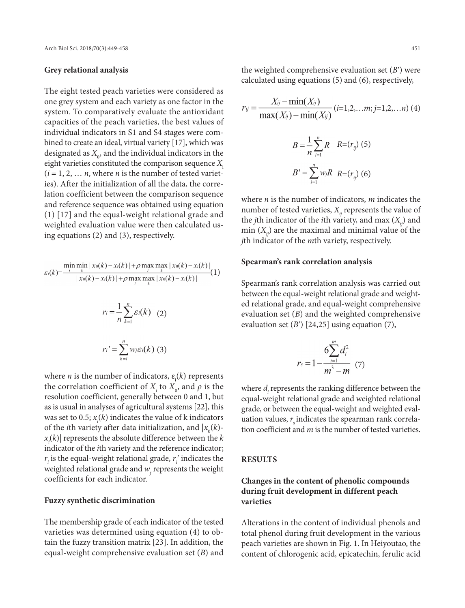## **Grey relational analysis**

The eight tested peach varieties were considered as one grey system and each variety as one factor in the system. To comparatively evaluate the antioxidant capacities of the peach varieties, the best values of individual indicators in S1 and S4 stages were combined to create an ideal, virtual variety [17], which was designated as  $X_{0}$ , and the individual indicators in the eight varieties constituted the comparison sequence *X*<sup>i</sup>  $(i = 1, 2, \ldots n$ , where *n* is the number of tested varieties). After the initialization of all the data, the correlation coefficient between the comparison sequence and reference sequence was obtained using equation (1) [17] and the equal-weight relational grade and weighted evaluation value were then calculated using equations (2) and (3), respectively.

$$
\varepsilon_{i}(k) = \frac{\min_{i} \min_{k} |x_{0}(k) - x_{i}(k)| + \rho \max_{i} \max_{k} |x_{0}(k) - x_{i}(k)|}{|x_{0}(k) - x_{i}(k)| + \rho \max_{i} \max_{k} |x_{0}(k) - x_{i}(k)|} (1)
$$

$$
r_{i} = \frac{1}{n} \sum_{k=1}^{n} \varepsilon_{i}(k) \quad (2)
$$

$$
r_{i} = \sum_{k=i}^{n} w_{j} \varepsilon_{i}(k) \quad (3)
$$

where *n* is the number of indicators,  $\varepsilon$ <sub>i</sub>(*k*) represents the correlation coefficient of  $X_i$  to  $X_0$ , and  $\rho$  is the resolution coefficient, generally between 0 and 1, but as is usual in analyses of agricultural systems [22], this was set to 0.5;  $x_i(k)$  indicates the value of k indicators of the *i*th variety after data initialization, and  $|x_0(k)$ *xi* (*k*)| represents the absolute difference between the *k* indicator of the *i*th variety and the reference indicator;  $r_i$  is the equal-weight relational grade,  $r_i'$  indicates the weighted relational grade and  $w_j$  represents the weight coefficients for each indicator.

### **Fuzzy synthetic discrimination**

The membership grade of each indicator of the tested varieties was determined using equation (4) to obtain the fuzzy transition matrix [23]. In addition, the equal-weight comprehensive evaluation set (*B*) and

the weighted comprehensive evaluation set (*B*ʹ) were calculated using equations (5) and (6), respectively,

$$
r_{ij} = \frac{X_{ij} - \min(X_{ij})}{\max(X_{ij}) - \min(X_{ij})} (i=1,2,...m; j=1,2,...n)
$$
 (4)  

$$
B = \frac{1}{n} \sum_{i=1}^{n} R \quad R = (r_{ij})
$$
 (5)  

$$
B' = \sum_{i=1}^{n} w_{ij} R \quad R = (r_{ij})
$$
 (6)

where *n* is the number of indicators, *m* indicates the number of tested varieties,  $X_{ij}$  represents the value of the *j*th indicator of the *i*th variety, and max  $(X_{ij})$  and min  $(X_{ii})$  are the maximal and minimal value of the *j*th indicator of the *m*th variety, respectively.

## **Spearman's rank correlation analysis**

Spearman's rank correlation analysis was carried out between the equal-weight relational grade and weighted relational grade, and equal-weight comprehensive evaluation set (*B*) and the weighted comprehensive evaluation set  $(B')$  [24,25] using equation  $(7)$ ,

$$
r_s = 1 - \frac{6\sum_{i=1}^{m} d_i^2}{m^3 - m}
$$
 (7)

where  $d_i$  represents the ranking difference between the equal-weight relational grade and weighted relational grade, or between the equal-weight and weighted evaluation values,  $r_s$  indicates the spearman rank correlation coefficient and *m* is the number of tested varieties.

#### **RESULTS**

## **Changes in the content of phenolic compounds during fruit development in different peach varieties**

Alterations in the content of individual phenols and total phenol during fruit development in the various peach varieties are shown in Fig. 1. In Heiyoutao, the content of chlorogenic acid, epicatechin, ferulic acid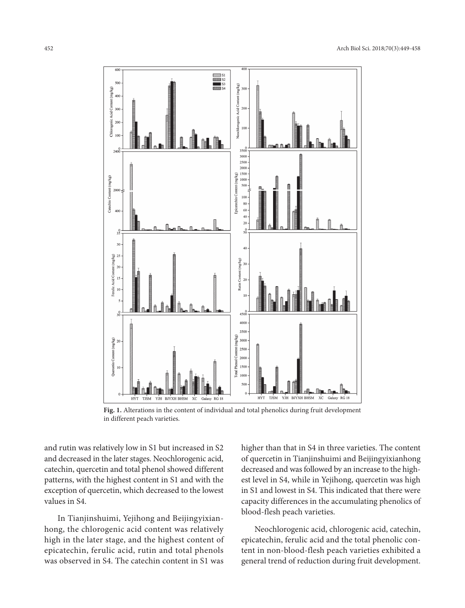

**Fig. 1.** Alterations in the content of individual and total phenolics during fruit development in different peach varieties.

and rutin was relatively low in S1 but increased in S2 and decreased in the later stages. Neochlorogenic acid, catechin, quercetin and total phenol showed different patterns, with the highest content in S1 and with the exception of quercetin, which decreased to the lowest values in S4.

In Tianjinshuimi, Yejihong and Beijingyixianhong, the chlorogenic acid content was relatively high in the later stage, and the highest content of epicatechin, ferulic acid, rutin and total phenols was observed in S4. The catechin content in S1 was

higher than that in S4 in three varieties. The content of quercetin in Tianjinshuimi and Beijingyixianhong decreased and was followed by an increase to the highest level in S4, while in Yejihong, quercetin was high in S1 and lowest in S4. This indicated that there were capacity differences in the accumulating phenolics of blood-flesh peach varieties.

Neochlorogenic acid, chlorogenic acid, catechin, epicatechin, ferulic acid and the total phenolic content in non-blood-flesh peach varieties exhibited a general trend of reduction during fruit development.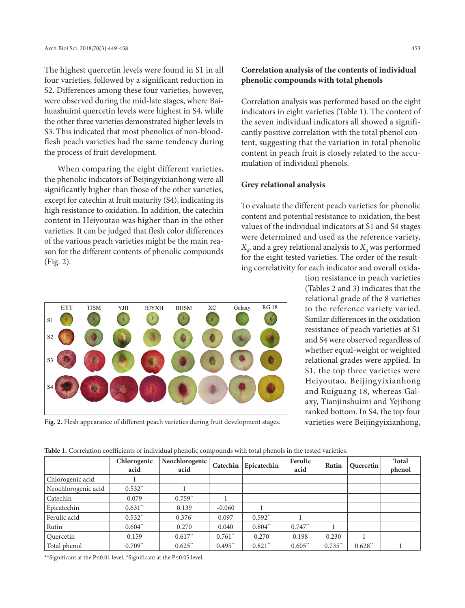The highest quercetin levels were found in S1 in all four varieties, followed by a significant reduction in S2. Differences among these four varieties, however, were observed during the mid-late stages, where Baihuashuimi quercetin levels were highest in S4, while the other three varieties demonstrated higher levels in S3. This indicated that most phenolics of non-bloodflesh peach varieties had the same tendency during the process of fruit development.

When comparing the eight different varieties, the phenolic indicators of Beijingyixianhong were all significantly higher than those of the other varieties, except for catechin at fruit maturity (S4), indicating its high resistance to oxidation. In addition, the catechin content in Heiyoutao was higher than in the other varieties. It can be judged that flesh color differences of the various peach varieties might be the main reason for the different contents of phenolic compounds (Fig. 2).

## **Correlation analysis of the contents of individual phenolic compounds with total phenols**

Correlation analysis was performed based on the eight indicators in eight varieties (Table 1). The content of the seven individual indicators all showed a significantly positive correlation with the total phenol content, suggesting that the variation in total phenolic content in peach fruit is closely related to the accumulation of individual phenols.

## **Grey relational analysis**

To evaluate the different peach varieties for phenolic content and potential resistance to oxidation, the best values of the individual indicators at S1 and S4 stages were determined and used as the reference variety,  $X^{\,}_{o}$ , and a grey relational analysis to  $X^{\,}_{o}$  was performed for the eight tested varieties. The order of the resulting correlativity for each indicator and overall oxida-



Fig. 2. Flesh appearance of different peach varieties during fruit development stages. varieties were Beijingyixianhong,

tion resistance in peach varieties (Tables 2 and 3) indicates that the relational grade of the 8 varieties to the reference variety varied. Similar differences in the oxidation resistance of peach varieties at S1 and S4 were observed regardless of whether equal-weight or weighted relational grades were applied. In S1, the top three varieties were Heiyoutao, Beijingyixianhong and Ruiguang 18, whereas Galaxy, Tianjinshuimi and Yejihong ranked bottom. In S4, the top four

| <b>Table 1.</b> Correlation coefficients of individual phenolic compounds with total phenols in the tested varieties. |  |
|-----------------------------------------------------------------------------------------------------------------------|--|
|-----------------------------------------------------------------------------------------------------------------------|--|

|                     | Chlorogenic<br>acid | Neochlorogenic<br>acid | Catechin              | Epicatechin | Ferulic<br>acid | Rutin      | Quercetin | <b>Total</b><br>phenol |
|---------------------|---------------------|------------------------|-----------------------|-------------|-----------------|------------|-----------|------------------------|
| Chlorogenic acid    |                     |                        |                       |             |                 |            |           |                        |
| Neochlorogenic acid | $0.532**$           |                        |                       |             |                 |            |           |                        |
| Catechin            | 0.079               | $0.759**$              |                       |             |                 |            |           |                        |
| Epicatechin         | $0.631**$           | 0.139                  | $-0.060$              |             |                 |            |           |                        |
| Ferulic acid        | $0.532$ **          | $0.376*$               | 0.097                 | $0.592**$   |                 |            |           |                        |
| Rutin               | $0.604**$           | 0.270                  | 0.040                 | $0.804**$   | $0.747**$       |            |           |                        |
| Quercetin           | 0.159               | $0.617**$              | $0.761$ <sup>**</sup> | 0.270       | 0.198           | 0.230      |           |                        |
| Total phenol        | $0.709**$           | $0.625$ **             | $0.495$ **            | $0.821$ **  | $0.605$ **      | $0.735$ ** | $0.628**$ |                        |

\*\*Significant at the P≤0.01 level. \*Significant at the P≤0.05 level.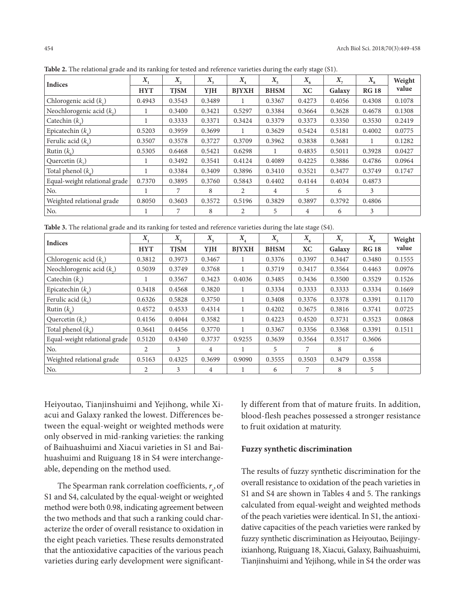| <b>Indices</b>                | $X_{\cdot}$ | $X_{\gamma}$ | $X_{3}$ | $X_{\rm A}$  | $X_{\mathbf{z}}$ | $X_{6}$   | $X_{-}$ | $X_{\rm s}$ | Weight |
|-------------------------------|-------------|--------------|---------|--------------|------------------|-----------|---------|-------------|--------|
|                               | <b>HYT</b>  | <b>TJSM</b>  | YJH     | <b>BJYXH</b> | <b>BHSM</b>      | <b>XC</b> | Galaxy  | <b>RG18</b> | value  |
| Chlorogenic acid $(k_1)$      | 0.4943      | 0.3543       | 0.3489  |              | 0.3367           | 0.4273    | 0.4056  | 0.4308      | 0.1078 |
| Neochlorogenic acid $(k_2)$   |             | 0.3400       | 0.3421  | 0.5297       | 0.3384           | 0.3664    | 0.3628  | 0.4678      | 0.1308 |
| Catechin $(k_2)$              | -1          | 0.3333       | 0.3371  | 0.3424       | 0.3379           | 0.3373    | 0.3350  | 0.3530      | 0.2419 |
| Epicatechin $(k_1)$           | 0.5203      | 0.3959       | 0.3699  |              | 0.3629           | 0.5424    | 0.5181  | 0.4002      | 0.0775 |
| Ferulic acid $(k_$ )          | 0.3507      | 0.3578       | 0.3727  | 0.3709       | 0.3962           | 0.3838    | 0.3681  |             | 0.1282 |
| Rutin $(k_1)$                 | 0.5305      | 0.6468       | 0.5421  | 0.6298       |                  | 0.4835    | 0.5011  | 0.3928      | 0.0427 |
| Quercetin $(k_$ )             |             | 0.3492       | 0.3541  | 0.4124       | 0.4089           | 0.4225    | 0.3886  | 0.4786      | 0.0964 |
| Total phenol $(k_0)$          | -1          | 0.3384       | 0.3409  | 0.3896       | 0.3410           | 0.3521    | 0.3477  | 0.3749      | 0.1747 |
| Equal-weight relational grade | 0.7370      | 0.3895       | 0.3760  | 0.5843       | 0.4402           | 0.4144    | 0.4034  | 0.4873      |        |
| No.                           |             | 7            | 8       | 2            | 4                | 5         | 6       | 3           |        |
| Weighted relational grade     | 0.8050      | 0.3603       | 0.3572  | 0.5196       | 0.3829           | 0.3897    | 0.3792  | 0.4806      |        |
| No.                           |             | 7            | 8       | 2            | 5                | 4         | 6       | 3           |        |

**Table 2.** The relational grade and its ranking for tested and reference varieties during the early stage (S1).

**Table 3.** The relational grade and its ranking for tested and reference varieties during the late stage (S4).

| <b>Indices</b>                | $X_{\rm q}$ | X,          | $X_{\mathcal{E}}$ | $X_{4}$      | $X_{5}$     | $X_{6}$   | $X_{-}$ | $X_{\rm s}$ | Weight |
|-------------------------------|-------------|-------------|-------------------|--------------|-------------|-----------|---------|-------------|--------|
|                               | <b>HYT</b>  | <b>TJSM</b> | YJH               | <b>BJYXH</b> | <b>BHSM</b> | <b>XC</b> | Galaxy  | <b>RG18</b> | value  |
| Chlorogenic acid $(k_1)$      | 0.3812      | 0.3973      | 0.3467            | -1           | 0.3376      | 0.3397    | 0.3447  | 0.3480      | 0.1555 |
| Neochlorogenic acid $(k_2)$   | 0.5039      | 0.3749      | 0.3768            | 1            | 0.3719      | 0.3417    | 0.3564  | 0.4463      | 0.0976 |
| Catechin $(k_2)$              |             | 0.3567      | 0.3423            | 0.4036       | 0.3485      | 0.3436    | 0.3500  | 0.3529      | 0.1526 |
| Epicatechin $(k_1)$           | 0.3418      | 0.4568      | 0.3820            | 1            | 0.3334      | 0.3333    | 0.3333  | 0.3334      | 0.1669 |
| Ferulic acid $(k_e)$          | 0.6326      | 0.5828      | 0.3750            |              | 0.3408      | 0.3376    | 0.3378  | 0.3391      | 0.1170 |
| Rutin $(k_2)$                 | 0.4572      | 0.4533      | 0.4314            |              | 0.4202      | 0.3675    | 0.3816  | 0.3741      | 0.0725 |
| Quercetin $(k_$ )             | 0.4156      | 0.4044      | 0.3582            | 1            | 0.4223      | 0.4520    | 0.3731  | 0.3523      | 0.0868 |
| Total phenol $(k_0)$          | 0.3641      | 0.4456      | 0.3770            |              | 0.3367      | 0.3356    | 0.3368  | 0.3391      | 0.1511 |
| Equal-weight relational grade | 0.5120      | 0.4340      | 0.3737            | 0.9255       | 0.3639      | 0.3564    | 0.3517  | 0.3606      |        |
| No.                           | 2           | 3           | 4                 |              | 5           | 7         | 8       | 6           |        |
| Weighted relational grade     | 0.5163      | 0.4325      | 0.3699            | 0.9090       | 0.3555      | 0.3503    | 0.3479  | 0.3558      |        |
| No.                           | 2           | 3           | 4                 |              | 6           | 7         | 8       | 5           |        |

Heiyoutao, Tianjinshuimi and Yejihong, while Xiacui and Galaxy ranked the lowest. Differences between the equal-weight or weighted methods were only observed in mid-ranking varieties: the ranking of Baihuashuimi and Xiacui varieties in S1 and Baihuashuimi and Ruiguang 18 in S4 were interchangeable, depending on the method used.

The Spearman rank correlation coefficients,  $r_{\rm s}$ , of S1 and S4, calculated by the equal-weight or weighted method were both 0.98, indicating agreement between the two methods and that such a ranking could characterize the order of overall resistance to oxidation in the eight peach varieties. These results demonstrated that the antioxidative capacities of the various peach varieties during early development were significantly different from that of mature fruits. In addition, blood-flesh peaches possessed a stronger resistance to fruit oxidation at maturity.

## **Fuzzy synthetic discrimination**

The results of fuzzy synthetic discrimination for the overall resistance to oxidation of the peach varieties in S1 and S4 are shown in Tables 4 and 5. The rankings calculated from equal-weight and weighted methods of the peach varieties were identical. In S1, the antioxidative capacities of the peach varieties were ranked by fuzzy synthetic discrimination as Heiyoutao, Beijingyixianhong, Ruiguang 18, Xiacui, Galaxy, Baihuashuimi, Tianjinshuimi and Yejihong, while in S4 the order was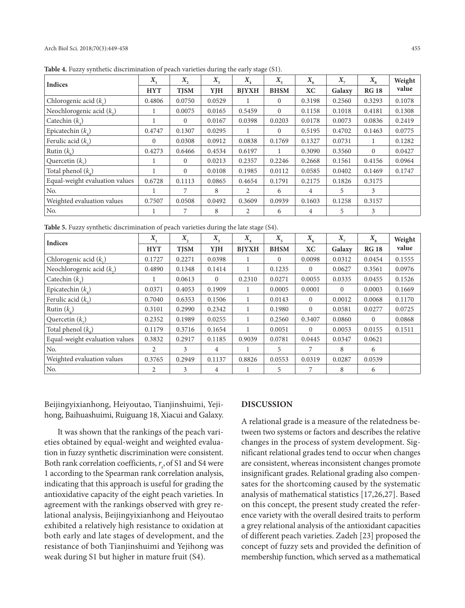| <b>Indices</b>                 | $X_{1}$    | $X_{2}$        | $X_{3}$ | $X_{\scriptscriptstyle A}$ | $X_{\mathbf{q}}$ | $X_{6}$   | $X_{-}$ | $X_{\rm s}$    | Weight |
|--------------------------------|------------|----------------|---------|----------------------------|------------------|-----------|---------|----------------|--------|
|                                | <b>HYT</b> | <b>TJSM</b>    | YJH     | <b>BJYXH</b>               | <b>BHSM</b>      | <b>XC</b> | Galaxy  | <b>RG 18</b>   | value  |
| Chlorogenic acid $(k_1)$       | 0.4806     | 0.0750         | 0.0529  |                            | $\Omega$         | 0.3198    | 0.2560  | 0.3293         | 0.1078 |
| Neochlorogenic acid $(k_2)$    |            | 0.0075         | 0.0165  | 0.5459                     | $\Omega$         | 0.1158    | 0.1018  | 0.4181         | 0.1308 |
| Catechin $(k_2)$               |            | $\overline{0}$ | 0.0167  | 0.0398                     | 0.0203           | 0.0178    | 0.0073  | 0.0836         | 0.2419 |
| Epicatechin $(k_1)$            | 0.4747     | 0.1307         | 0.0295  |                            | $\Omega$         | 0.5195    | 0.4702  | 0.1463         | 0.0775 |
| Ferulic acid $(k_e)$           | $\Omega$   | 0.0308         | 0.0912  | 0.0838                     | 0.1769           | 0.1327    | 0.0731  | 1              | 0.1282 |
| Rutin $(k_$ )                  | 0.4273     | 0.6466         | 0.4534  | 0.6197                     |                  | 0.3090    | 0.3560  | $\overline{0}$ | 0.0427 |
| Quercetin $(k_n)$              |            | $\Omega$       | 0.0213  | 0.2357                     | 0.2246           | 0.2668    | 0.1561  | 0.4156         | 0.0964 |
| Total phenol $(k_0)$           |            | $\overline{0}$ | 0.0108  | 0.1985                     | 0.0112           | 0.0585    | 0.0402  | 0.1469         | 0.1747 |
| Equal-weight evaluation values | 0.6728     | 0.1113         | 0.0865  | 0.4654                     | 0.1791           | 0.2175    | 0.1826  | 0.3175         |        |
| No.                            |            | 7              | 8       | $\overline{2}$             | 6                | 4         | 5       | 3              |        |
| Weighted evaluation values     | 0.7507     | 0.0508         | 0.0492  | 0.3609                     | 0.0939           | 0.1603    | 0.1258  | 0.3157         |        |
| No.                            |            | 7              | 8       | $\overline{2}$             | 6                | 4         | 5       | 3              |        |

**Table 4.** Fuzzy synthetic discrimination of peach varieties during the early stage (S1).

**Table 5.** Fuzzy synthetic discrimination of peach varieties during the late stage (S4).

| <b>Indices</b>                 | $X_{i}$    | $X_{2}$     | $X_{\mathcal{A}}$ | $X_{\scriptscriptstyle A}$ | $X_{\mathbf{q}}$ | $X_{6}$  | $X_{-}$  | $X_{\rm s}$  | Weight |
|--------------------------------|------------|-------------|-------------------|----------------------------|------------------|----------|----------|--------------|--------|
|                                | <b>HYT</b> | <b>TISM</b> | YJH               | <b>BJYXH</b>               | <b>BHSM</b>      | ХC       | Galaxy   | <b>RG 18</b> | value  |
| Chlorogenic acid $(k_1)$       | 0.1727     | 0.2271      | 0.0398            | 1                          | $\Omega$         | 0.0098   | 0.0312   | 0.0454       | 0.1555 |
| Neochlorogenic acid $(k_2)$    | 0.4890     | 0.1348      | 0.1414            | 1                          | 0.1235           | $\Omega$ | 0.0627   | 0.3561       | 0.0976 |
| Catechin $(k_2)$               |            | 0.0613      | $\Omega$          | 0.2310                     | 0.0271           | 0.0055   | 0.0335   | 0.0455       | 0.1526 |
| Epicatechin $(k_1)$            | 0.0371     | 0.4053      | 0.1909            |                            | 0.0005           | 0.0001   | $\Omega$ | 0.0003       | 0.1669 |
| Ferulic acid $(kr)$            | 0.7040     | 0.6353      | 0.1506            | 1                          | 0.0143           | $\Omega$ | 0.0012   | 0.0068       | 0.1170 |
| Rutin $(k_1)$                  | 0.3101     | 0.2990      | 0.2342            |                            | 0.1980           | $\Omega$ | 0.0581   | 0.0277       | 0.0725 |
| Quercetin $(k_$ )              | 0.2352     | 0.1989      | 0.0255            | 1                          | 0.2560           | 0.3407   | 0.0860   | $\Omega$     | 0.0868 |
| Total phenol $(k_0)$           | 0.1179     | 0.3716      | 0.1654            |                            | 0.0051           | $\Omega$ | 0.0053   | 0.0155       | 0.1511 |
| Equal-weight evaluation values | 0.3832     | 0.2917      | 0.1185            | 0.9039                     | 0.0781           | 0.0445   | 0.0347   | 0.0621       |        |
| No.                            | 2          | 3           | 4                 |                            | 5                | 7        | 8        | 6            |        |
| Weighted evaluation values     | 0.3765     | 0.2949      | 0.1137            | 0.8826                     | 0.0553           | 0.0319   | 0.0287   | 0.0539       |        |
| No.                            | 2          | 3           | 4                 |                            | 5                | 7        | 8        | 6            |        |

Beijingyixianhong, Heiyoutao, Tianjinshuimi, Yejihong, Baihuashuimi, Ruiguang 18, Xiacui and Galaxy.

It was shown that the rankings of the peach varieties obtained by equal-weight and weighted evaluation in fuzzy synthetic discrimination were consistent. Both rank correlation coefficients,  $r<sub>s</sub>$ , of S1 and S4 were 1 according to the Spearman rank correlation analysis, indicating that this approach is useful for grading the antioxidative capacity of the eight peach varieties. In agreement with the rankings observed with grey relational analysis, Beijingyixianhong and Heiyoutao exhibited a relatively high resistance to oxidation at both early and late stages of development, and the resistance of both Tianjinshuimi and Yejihong was weak during S1 but higher in mature fruit (S4).

## **DISCUSSION**

A relational grade is a measure of the relatedness between two systems or factors and describes the relative changes in the process of system development. Significant relational grades tend to occur when changes are consistent, whereas inconsistent changes promote insignificant grades. Relational grading also compensates for the shortcoming caused by the systematic analysis of mathematical statistics [17,26,27]. Based on this concept, the present study created the reference variety with the overall desired traits to perform a grey relational analysis of the antioxidant capacities of different peach varieties. Zadeh [23] proposed the concept of fuzzy sets and provided the definition of membership function, which served as a mathematical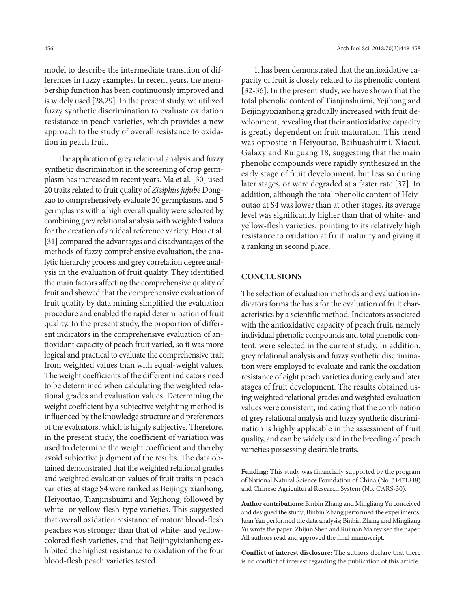model to describe the intermediate transition of differences in fuzzy examples. In recent years, the membership function has been continuously improved and is widely used [28,29]. In the present study, we utilized fuzzy synthetic discrimination to evaluate oxidation resistance in peach varieties, which provides a new approach to the study of overall resistance to oxidation in peach fruit.

The application of grey relational analysis and fuzzy synthetic discrimination in the screening of crop germplasm has increased in recent years. Ma et al. [30] used 20 traits related to fruit quality of *Ziziphus jujube* Dongzao to comprehensively evaluate 20 germplasms, and 5 germplasms with a high overall quality were selected by combining grey relational analysis with weighted values for the creation of an ideal reference variety. Hou et al. [31] compared the advantages and disadvantages of the methods of fuzzy comprehensive evaluation, the analytic hierarchy process and grey correlation degree analysis in the evaluation of fruit quality. They identified the main factors affecting the comprehensive quality of fruit and showed that the comprehensive evaluation of fruit quality by data mining simplified the evaluation procedure and enabled the rapid determination of fruit quality. In the present study, the proportion of different indicators in the comprehensive evaluation of antioxidant capacity of peach fruit varied, so it was more logical and practical to evaluate the comprehensive trait from weighted values than with equal-weight values. The weight coefficients of the different indicators need to be determined when calculating the weighted relational grades and evaluation values. Determining the weight coefficient by a subjective weighting method is influenced by the knowledge structure and preferences of the evaluators, which is highly subjective. Therefore, in the present study, the coefficient of variation was used to determine the weight coefficient and thereby avoid subjective judgment of the results. The data obtained demonstrated that the weighted relational grades and weighted evaluation values of fruit traits in peach varieties at stage S4 were ranked as Beijingyixianhong, Heiyoutao, Tianjinshuimi and Yejihong, followed by white- or yellow-flesh-type varieties. This suggested that overall oxidation resistance of mature blood-flesh peaches was stronger than that of white- and yellowcolored flesh varieties, and that Beijingyixianhong exhibited the highest resistance to oxidation of the four blood-flesh peach varieties tested.

It has been demonstrated that the antioxidative capacity of fruit is closely related to its phenolic content [32-36]. In the present study, we have shown that the total phenolic content of Tianjinshuimi, Yejihong and Beijingyixianhong gradually increased with fruit development, revealing that their antioxidative capacity is greatly dependent on fruit maturation. This trend was opposite in Heiyoutao, Baihuashuimi, Xiacui, Galaxy and Ruiguang 18, suggesting that the main phenolic compounds were rapidly synthesized in the early stage of fruit development, but less so during later stages, or were degraded at a faster rate [37]. In addition, although the total phenolic content of Heiyoutao at S4 was lower than at other stages, its average level was significantly higher than that of white- and yellow-flesh varieties, pointing to its relatively high resistance to oxidation at fruit maturity and giving it a ranking in second place.

## **CONCLUSIONS**

The selection of evaluation methods and evaluation indicators forms the basis for the evaluation of fruit characteristics by a scientific method. Indicators associated with the antioxidative capacity of peach fruit, namely individual phenolic compounds and total phenolic content, were selected in the current study. In addition, grey relational analysis and fuzzy synthetic discrimination were employed to evaluate and rank the oxidation resistance of eight peach varieties during early and later stages of fruit development. The results obtained using weighted relational grades and weighted evaluation values were consistent, indicating that the combination of grey relational analysis and fuzzy synthetic discrimination is highly applicable in the assessment of fruit quality, and can be widely used in the breeding of peach varieties possessing desirable traits.

**Funding:** This study was financially supported by the program of National Natural Science Foundation of China (No. 31471848) and Chinese Agricultural Research System (No. CARS-30).

**Author contributions:** Binbin Zhang and Mingliang Yu conceived and designed the study; Binbin Zhang performed the experiments; Juan Yan performed the data analysis; Binbin Zhang and Mingliang Yu wrote the paper; Zhijun Shen and Ruijuan Ma revised the paper. All authors read and approved the final manuscript.

**Conflict of interest disclosure:** The authors declare that there is no conflict of interest regarding the publication of this article.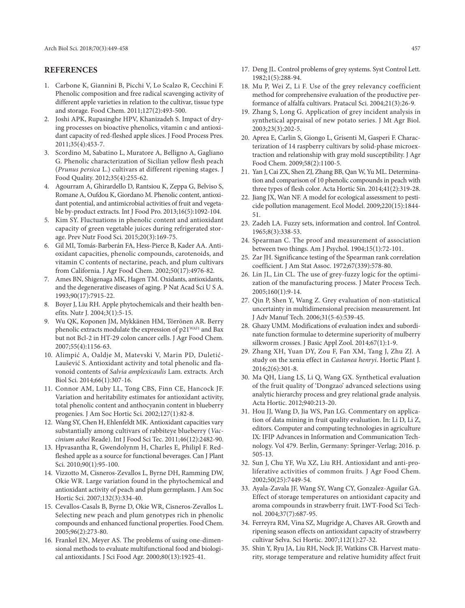## **REFERENCES**

- 1. Carbone K, Giannini B, Picchi V, Lo Scalzo R, Cecchini F. Phenolic composition and free radical scavenging activity of different apple varieties in relation to the cultivar, tissue type and storage. Food Chem. 2011;127(2):493-500.
- 2. Joshi APK, Rupasinghe HPV, Khanizadeh S. Impact of drying processes on bioactive phenolics, vitamin c and antioxidant capacity of red-fleshed apple slices. J Food Process Pres. 2011;35(4):453-7.
- 3. Scordino M, Sabatino L, Muratore A, Belligno A, Gagliano G. Phenolic characterization of Sicilian yellow flesh peach (*Prunus persica* L.) cultivars at different ripening stages. J Food Quality. 2012;35(4):255-62.
- 4. Agourram A, Ghirardello D, Rantsiou K, Zeppa G, Belviso S, Romane A, Oufdou K, Giordano M. Phenolic content, antioxidant potential, and antimicrobial activities of fruit and vegetable by-product extracts. Int J Food Pro. 2013;16(5):1092-104.
- 5. Kim SY. Fluctuations in phenolic content and antioxidant capacity of green vegetable juices during refrigerated storage. Prev Nutr Food Sci. 2015;20(3):169-75.
- 6. Gil MI, Tomás-Barberán FA, Hess-Pierce B, Kader AA. Antioxidant capacities, phenolic compounds, carotenoids, and vitamin C contents of nectarine, peach, and plum cultivars from California. J Agr Food Chem. 2002;50(17):4976-82.
- 7. Ames BN, Shigenaga MK, Hagen TM. Oxidants, antioxidants, and the degenerative diseases of aging. P Nat Acad Sci U S A. 1993;90(17):7915-22.
- 8. Boyer J, Liu RH. Apple phytochemicals and their health benefits. Nutr J. 2004;3(1):5-15.
- 9. Wu QK, Koponen JM, Mykkänen HM, Törrönen AR. Berry phenolic extracts modulate the expression of p21<sup>WAF1</sup> and Bax but not Bcl-2 in HT-29 colon cancer cells. J Agr Food Chem. 2007;55(4):1156-63.
- 10. Alimpić A, Oaldje M, Matevski V, Marin PD, Duletić-Laušević S. Antioxidant activity and total phenolic and flavonoid contents of *Salvia amplexicaulis* Lam. extracts. Arch Biol Sci. 2014;66(1):307-16.
- 11. Connor AM, Luby LL, Tong CBS, Finn CE, Hancock JF. Variation and heritability estimates for antioxidant activity, total phenolic content and anthocyanin content in blueberry progenies. J Am Soc Hortic Sci. 2002;127(1):82-8.
- 12. Wang SY, Chen H, Ehlenfeldt MK. Antioxidant capacities vary substantially among cultivars of rabbiteye blueberry (*Vaccinium ashei* Reade). Int J Food Sci Tec. 2011;46(12):2482-90.
- 13. Hpvasantha R, Gwendolynm H, Charles E, Philipl F. Redfleshed apple as a source for functional beverages. Can J Plant Sci. 2010;90(1):95-100.
- 14. Vizzotto M, Cisneros-Zevallos L, Byrne DH, Ramming DW, Okie WR. Large variation found in the phytochemical and antioxidant activity of peach and plum germplasm. J Am Soc Hortic Sci. 2007;132(3):334-40.
- 15. Cevallos-Casals B, Byrne D, Okie WR, Cisneros-Zevallos L. Selecting new peach and plum genotypes rich in phenolic compounds and enhanced functional properties. Food Chem. 2005;96(2):273-80.
- 16. Frankel EN, Meyer AS. The problems of using one-dimensional methods to evaluate multifunctional food and biological antioxidants. J Sci Food Agr. 2000;80(13):1925-41.
- 17. Deng JL. Control problems of grey systems. Syst Control Lett. 1982;1(5):288-94.
- 18. Mu P, Wei Z, Li F. Use of the grey relevancy coefficient method for comprehensive evaluation of the productive performance of alfalfa cultivars. Pratacul Sci. 2004;21(3):26-9.
- 19. Zhang S, Long G. Application of grey incident analysis in synthetical appraisal of new potato series. J Mt Agr Biol. 2003;23(3):202-5.
- 20. Aprea E, Carlin S, Giongo L, Grisenti M, Gasperi F. Characterization of 14 raspberry cultivars by solid-phase microextraction and relationship with gray mold susceptibility. J Agr Food Chem. 2009;58(2):1100-5.
- 21. Yan J, Cai ZX, Shen ZJ, Zhang BB, Qan W, Yu ML. Determination and comparison of 10 phenolic compounds in peach with three types of flesh color. Acta Hortic Sin. 2014;41(2):319-28.
- 22. Jiang JX, Wan NF. A model for ecological assessment to pesticide pollution management. Ecol Model. 2009;220(15):1844- 51.
- 23. Zadeh LA. Fuzzy sets, information and control. Inf Control. 1965;8(3):338-53.
- 24. Spearman C. The proof and measurement of association between two things. Am J Psychol. 1904;15(1):72-101.
- 25. Zar JH. Significance testing of the Spearman rank correlation coefficient. J Am Stat Assoc. 1972;67(339):578-80.
- 26. Lin JL, Lin CL. The use of grey-fuzzy logic for the optimization of the manufacturing process. J Mater Process Tech. 2005;160(1):9-14.
- 27. Qin P, Shen Y, Wang Z. Grey evaluation of non-statistical uncertainty in multidimensional precision measurement. Int J Adv Manuf Tech. 2006;31(5-6):539-45.
- 28. Ghazy UMM. Modifications of evaluation index and subordinate function formulae to determine superiority of mulberry silkworm crosses. J Basic Appl Zool. 2014;67(1):1-9.
- 29. Zhang XH, Yuan DY, Zou F, Fan XM, Tang J, Zhu ZJ. A study on the xenia effect in *Castanea henryi*. Hortic Plant J. 2016;2(6):301-8.
- 30. Ma QH, Liang LS, Li Q, Wang GX. Synthetical evaluation of the fruit quality of 'Dongzao' advanced selections using analytic hierarchy process and grey relational grade analysis. Acta Hortic. 2012;940:213-20.
- 31. Hou JJ, Wang D, Jia WS, Pan LG. Commentary on application of data mining in fruit quality evaluation. In: Li D, Li Z, editors. Computer and computing technologies in agriculture IX: IFIP Advances in Information and Communication Technology. Vol 479. Berlin, Germany: Springer-Verlag; 2016. p. 505-13.
- 32. Sun J, Chu YF, Wu XZ, Liu RH. Antioxidant and anti-proliferative activities of common fruits. J Agr Food Chem. 2002;50(25):7449-54.
- 33. Ayala-Zavala JF, Wang SY, Wang CY, Gonzalez-Aguilar GA. Effect of storage temperatures on antioxidant capacity and aroma compounds in strawberry fruit. LWT-Food Sci Technol. 2004;37(7):687-95.
- 34. Ferreyra RM, Vina SZ, Mugridge A, Chaves AR. Growth and ripening season effects on antioxidant capacity of strawberry cultivar Selva. Sci Hortic. 2007;112(1):27-32.
- 35. Shin Y, Ryu JA, Liu RH, Nock JF, Watkins CB. Harvest maturity, storage temperature and relative humidity affect fruit